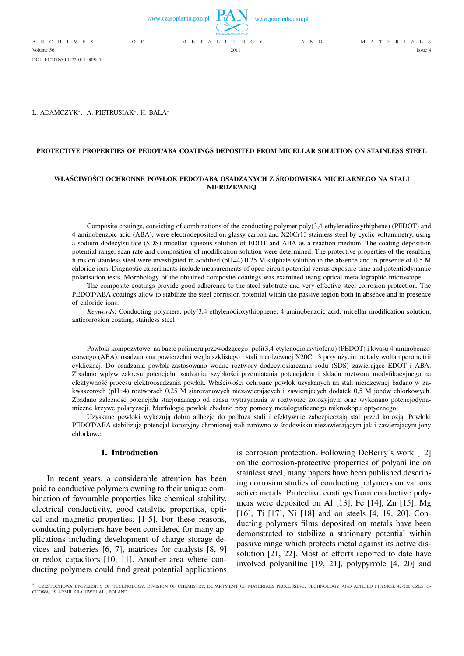|                 | www.czasopisma.pan.pl | POLSKA AKADEMIA NAUK | www.journals.pan.pl |                   |  |
|-----------------|-----------------------|----------------------|---------------------|-------------------|--|
| A R C H I V E S | $O$ F                 | M E T A L L U R G Y  | A N D               | M A T E R I A L S |  |
| Volume 56       |                       | 2011                 |                     | Issue 4           |  |

DOI: 10.2478/v10172-011-0096-7

L. ADAMCZYK\*, A. PIETRUSIAK\*, H. BALA\*

### **PROTECTIVE PROPERTIES OF PEDOT/ABA COATINGS DEPOSITED FROM MICELLAR SOLUTION ON STAINLESS STEEL**

## **WŁAŚCIWOŚCI OCHRONNE POWŁOK PEDOT/ABA OSADZANYCH Z ŚRODOWISKA MICELARNEGO NA STALI NIERDZEWNEJ**

Composite coatings, consisting of combinations of the conducting polymer poly(3,4-ethylenedioxythiphene) (PEDOT) and 4-aminobenzoic acid (ABA), were electrodeposited on glassy carbon and X20Cr13 stainless steel by cyclic voltammetry, using a sodium dodecylsulfate (SDS) micellar aqueous solution of EDOT and ABA as a reaction medium. The coating deposition potential range, scan rate and composition of modification solution were determined. The protective properties of the resulting films on stainless steel were investigated in acidified ( $pH=4$ ) 0.25 M sulphate solution in the absence and in presence of 0.5 M chloride ions. Diagnostic experiments include measurements of open circuit potential versus exposure time and potentiodynamic polarisation tests. Morphology of the obtained composite coatings was examined using optical metallographic microscope.

The composite coatings provide good adherence to the steel substrate and very effective steel corrosion protection. The PEDOT/ABA coatings allow to stabilize the steel corrosion potential within the passive region both in absence and in presence of chloride ions.

*Keywords*: Conducting polymers, poly(3,4-ethylenodioxythiophene, 4-aminobenzoic acid, micellar modification solution, anticorrosion coating, stainless steel

Powłoki kompozytowe, na bazie polimeru przewodzącego- poli(3,4-etylenodioksytiofenu) (PEDOT) i kwasu 4-aminobenzoesowego (ABA), osadzano na powierzchni węgla szklistego i stali nierdzewnej X20Cr13 przy użyciu metody woltamperometrii cyklicznej. Do osadzania powłok zastosowano wodne roztwory dodecylosiarczanu sodu (SDS) zawierające EDOT i ABA. Zbadano wpływ zakresu potencjału osadzania, szybkości przemiatania potencjałem i składu roztworu modyfikacyjnego na efektywność procesu elektroosadzania powłok. Właściwości ochronne powłok uzyskanych na stali nierdzewnej badano w zakwaszonych (pH=4) roztworach 0,25 M siarczanowych niezawierających i zawierających dodatek 0,5 M jonów chlorkowych. Zbadano zależność potencjału stacjonarnego od czasu wytrzymania w roztworze korozyjnym oraz wykonano potencjodynamiczne krzywe polaryzacji. Morfologię powłok zbadano przy pomocy metalograficznego mikroskopu optycznego.

Uzyskane powłoki wykazują dobrą adhezję do podłoża stali i efektywnie zabezpieczają stal przed korozją. Powłoki PEDOT/ABA stabilizują potencjał korozyjny chronionej stali zarówno w środowisku niezawierającym jak i zawierającym jony chlorkowe.

## **1. Introduction**

In recent years, a considerable attention has been paid to conductive polymers owning to their unique combination of favourable properties like chemical stability, electrical conductivity, good catalytic properties, optical and magnetic properties. [1-5]. For these reasons, conducting polymers have been considered for many applications including development of charge storage devices and batteries [6, 7], matrices for catalysts [8, 9] or redox capacitors [10, 11]. Another area where conducting polymers could find great potential applications

is corrosion protection. Following DeBerry's work [12] on the corrosion-protective properties of polyaniline on stainless steel, many papers have been published describing corrosion studies of conducting polymers on various active metals. Protective coatings from conductive polymers were deposited on Al [13], Fe [14], Zn [15], Mg [16], Ti [17], Ni [18] and on steels [4, 19, 20]. Conducting polymers films deposited on metals have been demonstrated to stabilize a stationary potential within passive range which protects metal against its active dissolution [21, 22]. Most of efforts reported to date have involved polyaniline [19, 21], polypyrrole [4, 20] and

<sup>∗</sup> CZESTOCHOWA UNIVERSITY OF TECHNOLOGY, DIVISION OF CHEMISTRY, DEPARTMENT OF MATERIALS PROCESSING, TECHNOLOGY AND APPLIED PHYSICS, 42-200 CZESTO-CHOWA, 19 ARMII KRAJOWEJ AL., POLAND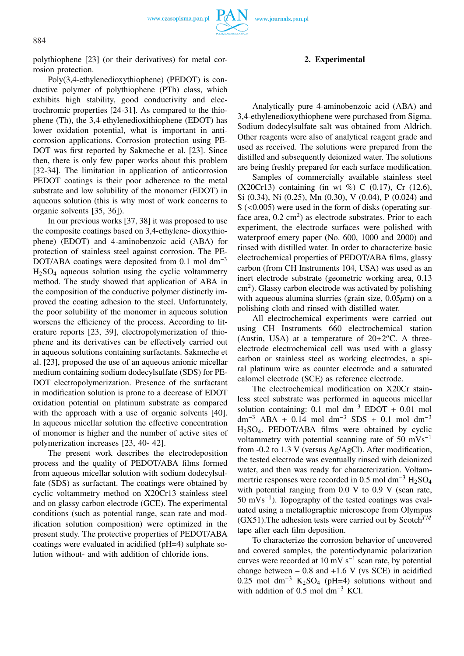www.czasopisma.pan.pl



polythiophene [23] (or their derivatives) for metal corrosion protection.

Poly(3,4-ethylenedioxythiophene) (PEDOT) is conductive polymer of polythiophene (PTh) class, which exhibits high stability, good conductivity and electrochromic properties [24-31]. As compared to the thiophene (Th), the 3,4-ethylenedioxithiophene (EDOT) has lower oxidation potential, what is important in anticorrosion applications. Corrosion protection using PE-DOT was first reported by Sakmeche et al. [23]. Since then, there is only few paper works about this problem [32-34]. The limitation in application of anticorrosion PEDOT coatings is their poor adherence to the metal substrate and low solubility of the monomer (EDOT) in aqueous solution (this is why most of work concerns to organic solvents [35, 36]).

In our previous works [37, 38] it was proposed to use the composite coatings based on 3,4-ethylene- dioxythiophene) (EDOT) and 4-aminobenzoic acid (ABA) for protection of stainless steel against corrosion. The PE-DOT/ABA coatings were deposited from  $0.1$  mol dm<sup>-3</sup>  $H<sub>2</sub>SO<sub>4</sub>$  aqueous solution using the cyclic voltammetry method. The study showed that application of ABA in the composition of the conductive polymer distinctly improved the coating adhesion to the steel. Unfortunately, the poor solubility of the monomer in aqueous solution worsens the efficiency of the process. According to literature reports [23, 39], electropolymerization of thiophene and its derivatives can be effectively carried out in aqueous solutions containing surfactants. Sakmeche et al. [23], proposed the use of an aqueous anionic micellar medium containing sodium dodecylsulfate (SDS) for PE-DOT electropolymerization. Presence of the surfactant in modification solution is prone to a decrease of EDOT oxidation potential on platinum substrate as compared with the approach with a use of organic solvents [40]. In aqueous micellar solution the effective concentration of monomer is higher and the number of active sites of polymerization increases [23, 40- 42].

The present work describes the electrodeposition process and the quality of PEDOT/ABA films formed from aqueous micellar solution with sodium dodecylsulfate (SDS) as surfactant. The coatings were obtained by cyclic voltammetry method on X20Cr13 stainless steel and on glassy carbon electrode (GCE). The experimental conditions (such as potential range, scan rate and modification solution composition) were optimized in the present study. The protective properties of PEDOT/ABA coatings were evaluated in acidified (pH=4) sulphate solution without- and with addition of chloride ions.

## **2. Experimental**

Analytically pure 4-aminobenzoic acid (ABA) and 3,4-ethylenedioxythiophene were purchased from Sigma. Sodium dodecylsulfate salt was obtained from Aldrich. Other reagents were also of analytical reagent grade and used as received. The solutions were prepared from the distilled and subsequently deionized water. The solutions are being freshly prepared for each surface modification.

Samples of commercially available stainless steel (X20Cr13) containing (in wt %) C (0.17), Cr (12.6), Si (0.34), Ni (0.25), Mn (0.30), V (0.04), P (0.024) and  $S$  (<0.005) were used in the form of disks (operating surface area,  $0.2 \text{ cm}^2$ ) as electrode substrates. Prior to each experiment, the electrode surfaces were polished with waterproof emery paper (No. 600, 1000 and 2000) and rinsed with distilled water. In order to characterize basic electrochemical properties of PEDOT/ABA films, glassy carbon (from CH Instruments 104, USA) was used as an inert electrode substrate (geometric working area, 0.13  $\text{cm}^2$ ). Glassy carbon electrode was activated by polishing with aqueous alumina slurries (grain size,  $0.05 \mu m$ ) on a polishing cloth and rinsed with distilled water.

All electrochemical experiments were carried out using CH Instruments 660 electrochemical station (Austin, USA) at a temperature of  $20 \pm 2^{\circ}$ C. A threeelectrode electrochemical cell was used with a glassy carbon or stainless steel as working electrodes, a spiral platinum wire as counter electrode and a saturated calomel electrode (SCE) as reference electrode.

The electrochemical modification on X20Cr stainless steel substrate was performed in aqueous micellar solution containing:  $0.1$  mol dm<sup>-3</sup> EDOT + 0.01 mol dm<sup>-3</sup> ABA + 0.14 mol dm<sup>-3</sup> SDS + 0.1 mol dm<sup>-3</sup> H2SO4. PEDOT/ABA films were obtained by cyclic voltammetry with potential scanning rate of 50 mVs<sup>-1</sup> from -0.2 to 1.3 V (versus Ag/AgCl). After modification, the tested electrode was eventually rinsed with deionized water, and then was ready for characterization. Voltammertric responses were recorded in 0.5 mol dm<sup>-3</sup> H<sub>2</sub>SO<sub>4</sub> with potential ranging from 0.0 V to 0.9 V (scan rate, 50 mVs<sup>−</sup><sup>1</sup> ). Topography of the tested coatings was evaluated using a metallographic microscope from Olympus  $(GX51)$ . The adhesion tests were carried out by Scotch<sup>TM</sup> tape after each film deposition.

To characterize the corrosion behavior of uncovered and covered samples, the potentiodynamic polarization curves were recorded at 10 mV  $s^{-1}$  scan rate, by potential change between  $-0.8$  and  $+1.6$  V (vs SCE) in acidified 0.25 mol dm<sup>-3</sup> K<sub>2</sub>SO<sub>4</sub> (pH=4) solutions without and with addition of 0.5 mol dm<sup>−</sup><sup>3</sup> KCl.

884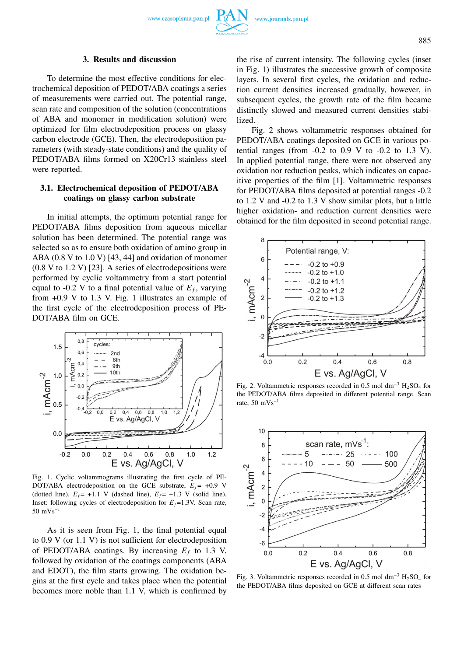### **3. Results and discussion**

To determine the most effective conditions for electrochemical deposition of PEDOT/ABA coatings a series of measurements were carried out. The potential range, scan rate and composition of the solution (concentrations of ABA and monomer in modification solution) were optimized for film electrodeposition process on glassy carbon electrode (GCE). Then, the electrodeposition parameters (with steady-state conditions) and the quality of PEDOT/ABA films formed on X20Cr13 stainless steel were reported.

## **3.1. Electrochemical deposition of PEDOT/ABA coatings on glassy carbon substrate**

In initial attempts, the optimum potential range for PEDOT/ABA films deposition from aqueous micellar solution has been determined. The potential range was selected so as to ensure both oxidation of amino group in ABA (0.8 V to 1.0 V) [43, 44] and oxidation of monomer (0.8 V to 1.2 V) [23]. A series of electrodepositions were performed by cyclic voltammetry from a start potential equal to  $-0.2$  V to a final potential value of  $E_f$ , varying from +0.9 V to 1.3 V. Fig. 1 illustrates an example of the first cycle of the electrodeposition process of PE-DOT/ABA film on GCE.



Fig. 1. Cyclic voltammograms illustrating the first cycle of PE-DOT/ABA electrodeposition on the GCE substrate,  $E_f$  = +0.9 V (dotted line),  $E_f$  = +1.1 V (dashed line),  $E_f$  = +1.3 V (solid line). Inset: following cycles of electrodeposition for  $E_f = 1.3V$ . Scan rate, 50 mVs<sup>−</sup><sup>1</sup>

As it is seen from Fig. 1, the final potential equal to 0.9 V (or 1.1 V) is not sufficient for electrodeposition of PEDOT/ABA coatings. By increasing  $E_f$  to 1.3 V, followed by oxidation of the coatings components (ABA and EDOT), the film starts growing. The oxidation begins at the first cycle and takes place when the potential becomes more noble than 1.1 V, which is confirmed by the rise of current intensity. The following cycles (inset in Fig. 1) illustrates the successive growth of composite layers. In several first cycles, the oxidation and reduction current densities increased gradually, however, in subsequent cycles, the growth rate of the film became distinctly slowed and measured current densities stabilized.

Fig. 2 shows voltammetric responses obtained for PEDOT/ABA coatings deposited on GCE in various potential ranges (from  $-0.2$  to  $0.9$  V to  $-0.2$  to  $1.3$  V). In applied potential range, there were not observed any oxidation nor reduction peaks, which indicates on capacitive properties of the film [1]. Voltammetric responses for PEDOT/ABA films deposited at potential ranges -0.2 to 1.2 V and -0.2 to 1.3 V show similar plots, but a little higher oxidation- and reduction current densities were obtained for the film deposited in second potential range.



Fig. 2. Voltammetric responses recorded in 0.5 mol dm<sup>−</sup><sup>3</sup> H2SO<sup>4</sup> for the PEDOT/ABA films deposited in different potential range. Scan rate,  $50 \text{ mVs}^{-1}$ 



Fig. 3. Voltammetric responses recorded in 0.5 mol dm<sup>-3</sup> H<sub>2</sub>SO<sub>4</sub> for the PEDOT/ABA films deposited on GCE at different scan rates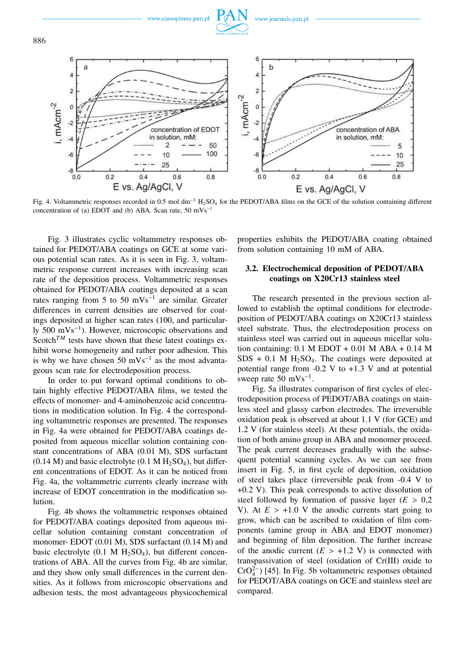

Fig. 4. Voltammetric responses recorded in 0.5 mol dm<sup>−</sup><sup>3</sup> H2SO<sup>4</sup> for the PEDOT/ABA films on the GCE of the solution containing different concentration of (a) EDOT and (b) ABA. Scan rate, 50 mVs<sup>−</sup><sup>1</sup>

Fig. 3 illustrates cyclic voltammetry responses obtained for PEDOT/ABA coatings on GCE at some various potential scan rates. As it is seen in Fig. 3, voltammetric response current increases with increasing scan rate of the deposition process. Voltammetric responses obtained for PEDOT/ABA coatings deposited at a scan rates ranging from 5 to 50 mVs<sup>-1</sup> are similar. Greater differences in current densities are observed for coatings deposited at higher scan rates (100, and particularly 500 mVs<sup>-1</sup>). However, microscopic observations and Scotch<sup>TM</sup> tests have shown that these latest coatings exhibit worse homogeneity and rather poor adhesion. This is why we have chosen  $50 \text{ mVs}^{-1}$  as the most advantageous scan rate for electrodeposition process.

In order to put forward optimal conditions to obtain highly effective PEDOT/ABA films, we tested the effects of monomer- and 4-aminobenzoic acid concentrations in modification solution. In Fig. 4 the corresponding voltammetric responses are presented. The responses in Fig. 4a were obtained for PEDOT/ABA coatings deposited from aqueous micellar solution containing constant concentrations of ABA (0.01 M), SDS surfactant  $(0.14 \text{ M})$  and basic electrolyte  $(0.1 \text{ M H}_2\text{SO}_4)$ , but different concentrations of EDOT. As it can be noticed from Fig. 4a, the voltammetric currents clearly increase with increase of EDOT concentration in the modification solution.

Fig. 4b shows the voltammetric responses obtained for PEDOT/ABA coatings deposited from aqueous micellar solution containing constant concentration of monomer- EDOT (0.01 M), SDS surfactant (0.14 M) and basic electrolyte  $(0.1 \text{ M H}_2\text{SO}_4)$ , but different concentrations of ABA. All the curves from Fig. 4b are similar, and they show only small differences in the current densities. As it follows from microscopic observations and adhesion tests, the most advantageous physicochemical

properties exhibits the PEDOT/ABA coating obtained from solution containing 10 mM of ABA.

# **3.2. Electrochemical deposition of PEDOT/ABA coatings on X20Cr13 stainless steel**

The research presented in the previous section allowed to establish the optimal conditions for electrodeposition of PEDOT/ABA coatings on X20Cr13 stainless steel substrate. Thus, the electrodeposition process on stainless steel was carried out in aqueous micellar solution containing:  $0.1$  M EDOT +  $0.01$  M ABA +  $0.14$  M  $SDS + 0.1$  M H<sub>2</sub>SO<sub>4</sub>. The coatings were deposited at potential range from  $-0.2$  V to  $+1.3$  V and at potential sweep rate  $50 \text{ mVs}^{-1}$ .

Fig. 5a illustrates comparison of first cycles of electrodeposition process of PEDOT/ABA coatings on stainless steel and glassy carbon electrodes. The irreversible oxidation peak is observed at about 1.1 V (for GCE) and 1.2 V (for stainless steel). At these potentials, the oxidation of both amino group in ABA and monomer proceed. The peak current decreases gradually with the subsequent potential scanning cycles. As we can see from insert in Fig. 5, in first cycle of deposition, oxidation of steel takes place (irreversible peak from -0.4 V to +0.2 V). This peak corresponds to active dissolution of steel followed by formation of passive layer  $(E > 0.2)$ V). At  $E > +1.0$  V the anodic currents start going to grow, which can be ascribed to oxidation of film components (amine group in ABA and EDOT monomer) and beginning of film deposition. The further increase of the anodic current  $(E > +1.2 \text{ V})$  is connected with transpassivation of steel (oxidation of Cr(III) oxide to  $CrO<sub>4</sub><sup>2−</sup>$ ) [45]. In Fig. 5b voltammetric responses obtained for PEDOT/ABA coatings on GCE and stainless steel are compared.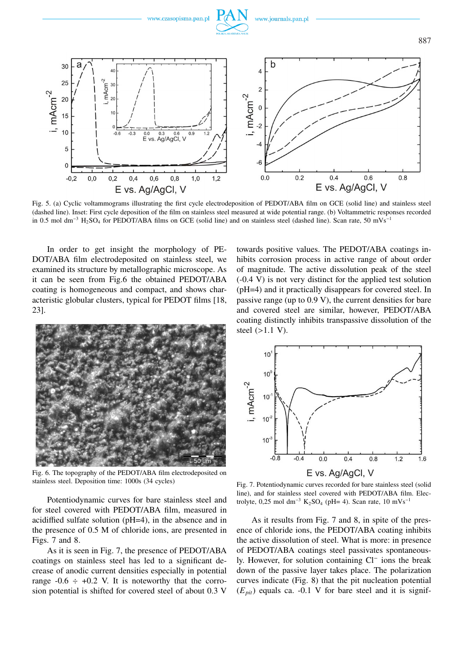

Fig. 5. (a) Cyclic voltammograms illustrating the first cycle electrodeposition of PEDOT/ABA film on GCE (solid line) and stainless steel (dashed line). Inset: First cycle deposition of the film on stainless steel measured at wide potential range. (b) Voltammetric responses recorded in 0.5 mol dm<sup>−3</sup> H<sub>2</sub>SO<sub>4</sub> for PEDOT/ABA films on GCE (solid line) and on stainless steel (dashed line). Scan rate, 50 mVs<sup>−1</sup>

In order to get insight the morphology of PE-DOT/ABA film electrodeposited on stainless steel, we examined its structure by metallographic microscope. As it can be seen from Fig.6 the obtained PEDOT/ABA coating is homogeneous and compact, and shows characteristic globular clusters, typical for PEDOT films [18, 23].



Fig. 6. The topography of the PEDOT/ABA film electrodeposited on stainless steel. Deposition time: 1000s (34 cycles)

Potentiodynamic curves for bare stainless steel and for steel covered with PEDOT/ABA film, measured in acidiffied sulfate solution (pH=4), in the absence and in the presence of 0.5 M of chloride ions, are presented in Figs. 7 and 8.

As it is seen in Fig. 7, the presence of PEDOT/ABA coatings on stainless steel has led to a significant decrease of anodic current densities especially in potential range  $-0.6 \div +0.2$  V. It is noteworthy that the corrosion potential is shifted for covered steel of about 0.3 V towards positive values. The PEDOT/ABA coatings inhibits corrosion process in active range of about order of magnitude. The active dissolution peak of the steel (-0.4 V) is not very distinct for the applied test solution (pH=4) and it practically disappears for covered steel. In passive range (up to 0.9 V), the current densities for bare and covered steel are similar, however, PEDOT/ABA coating distinctly inhibits transpassive dissolution of the steel (>1.1 V).



Fig. 7. Potentiodynamic curves recorded for bare stainless steel (solid line), and for stainless steel covered with PEDOT/ABA film. Electrolyte, 0,25 mol dm<sup>-3</sup> K<sub>2</sub>SO<sub>4</sub> (pH= 4). Scan rate, 10 mVs<sup>-1</sup>

As it results from Fig. 7 and 8, in spite of the presence of chloride ions, the PEDOT/ABA coating inhibits the active dissolution of steel. What is more: in presence of PEDOT/ABA coatings steel passivates spontaneously. However, for solution containing Cl<sup>−</sup> ions the break down of the passive layer takes place. The polarization curves indicate (Fig. 8) that the pit nucleation potential  $(E_{pit})$  equals ca. -0.1 V for bare steel and it is signif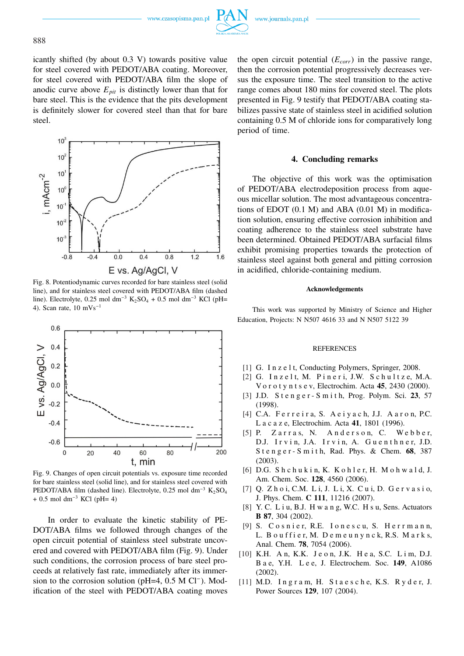www.czasopisma.pan.pl



icantly shifted (by about 0.3 V) towards positive value for steel covered with PEDOT/ABA coating. Moreover, for steel covered with PEDOT/ABA film the slope of anodic curve above  $E_{pit}$  is distinctly lower than that for bare steel. This is the evidence that the pits development is definitely slower for covered steel than that for bare steel.



Fig. 8. Potentiodynamic curves recorded for bare stainless steel (solid line), and for stainless steel covered with PEDOT/ABA film (dashed line). Electrolyte, 0.25 mol dm<sup>-3</sup> K<sub>2</sub>SO<sub>4</sub> + 0.5 mol dm<sup>-3</sup> KCl (pH= 4). Scan rate,  $10 \text{ mVs}^{-1}$ 



Fig. 9. Changes of open circuit potentials vs. exposure time recorded for bare stainless steel (solid line), and for stainless steel covered with PEDOT/ABA film (dashed line). Electrolyte, 0.25 mol dm<sup>-3</sup> K<sub>2</sub>SO<sub>4</sub> + 0.5 mol dm<sup>-3</sup> KCl (pH= 4)

In order to evaluate the kinetic stability of PE-DOT/ABA films we followed through changes of the open circuit potential of stainless steel substrate uncovered and covered with PEDOT/ABA film (Fig. 9). Under such conditions, the corrosion process of bare steel proceeds at relatively fast rate, immediately after its immersion to the corrosion solution (pH=4, 0.5 M Cl<sup>−</sup>). Modification of the steel with PEDOT/ABA coating moves

the open circuit potential (*Ecorr*) in the passive range, then the corrosion potential progressively decreases versus the exposure time. The steel transition to the active range comes about 180 mins for covered steel. The plots presented in Fig. 9 testify that PEDOT/ABA coating stabilizes passive state of stainless steel in acidified solution containing 0.5 M of chloride ions for comparatively long period of time.

## **4. Concluding remarks**

The objective of this work was the optimisation of PEDOT/ABA electrodeposition process from aqueous micellar solution. The most advantageous concentrations of EDOT (0.1 M) and ABA (0.01 M) in modification solution, ensuring effective corrosion inhibition and coating adherence to the stainless steel substrate have been determined. Obtained PEDOT/ABA surfacial films exhibit promising properties towards the protection of stainless steel against both general and pitting corrosion in acidified, chloride-containing medium.

#### **Acknowledgements**

This work was supported by Ministry of Science and Higher Education, Projects: N N507 4616 33 and N N507 5122 39

#### REFERENCES

- [1] G. In z e l t, Conducting Polymers, Springer, 2008.
- [2] G. Inzelt, M. Pineri, J.W. Schultze, M.A. Vo r o t y n t s e v, Electrochim. Acta **45**, 2430 (2000).
- [3] J.D. S t e n g e r S m i t h, Prog. Polym. Sci. **23**, 57 (1998).
- [4] C.A. Ferreira, S. Aeiyach, J.J. Aaron, P.C. L a c a z e, Electrochim. Acta **41**, 1801 (1996).
- [5] P. Zarras, N. Anderson, C. Webber, D.J. Ir vin, J.A. Ir vin, A. Guenthner, J.D. S t e n g e r - S m i t h, Rad. Phys. & Chem. **68**, 387 (2003).
- [6] D.G. Shchukin, K. Kohler, H. Mohwald, J. Am. Chem. Soc. **128**, 4560 (2006).
- [7] Q. Z h o i, C.M. L i, J. L i, X. C u i, D. G e r v a s i o, J. Phys. Chem. **C 111**, 11216 (2007).
- [8] Y. C. L i u, B.J. H w a n g, W.C. H s u, Sens. Actuators **B 87**, 304 (2002).
- [9] S. Cosnier, R.E. Ionescu, S. Herrmann, L. B ou f f i e r, M. D e m e u n y n c k, R.S. M a r k s, Anal. Chem. **78**, 7054 (2006).
- [10] K.H. A n, K.K. J e o n, J.K. H e a, S.C. L i m, D.J. B a e, Y.H. L e e, J. Electrochem. Soc. **149**, A1086 (2002).
- [11] M.D. Ingram, H. Staesche, K.S. Ryder, J. Power Sources **129**, 107 (2004).